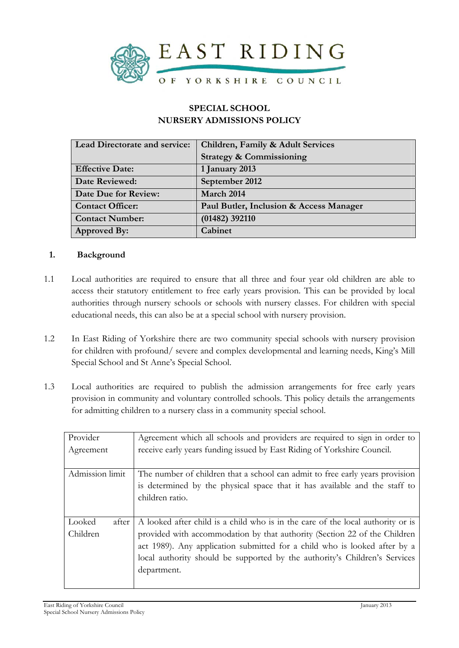

# **SPECIAL SCHOOL NURSERY ADMISSIONS POLICY**

| <b>Lead Directorate and service:</b> | Children, Family & Adult Services       |  |
|--------------------------------------|-----------------------------------------|--|
|                                      | <b>Strategy &amp; Commissioning</b>     |  |
| <b>Effective Date:</b>               | 1 January 2013                          |  |
| Date Reviewed:                       | September 2012                          |  |
| Date Due for Review:                 | March 2014                              |  |
| <b>Contact Officer:</b>              | Paul Butler, Inclusion & Access Manager |  |
| <b>Contact Number:</b>               | $(01482)$ 392110                        |  |
| <b>Approved By:</b>                  | Cabinet                                 |  |

#### **1. Background**

- 1.1 Local authorities are required to ensure that all three and four year old children are able to access their statutory entitlement to free early years provision. This can be provided by local authorities through nursery schools or schools with nursery classes. For children with special educational needs, this can also be at a special school with nursery provision.
- 1.2 In East Riding of Yorkshire there are two community special schools with nursery provision for children with profound/ severe and complex developmental and learning needs, King's Mill Special School and St Anne's Special School.
- 1.3 Local authorities are required to publish the admission arrangements for free early years provision in community and voluntary controlled schools. This policy details the arrangements for admitting children to a nursery class in a community special school.

| Provider        | Agreement which all schools and providers are required to sign in order to      |
|-----------------|---------------------------------------------------------------------------------|
| Agreement       | receive early years funding issued by East Riding of Yorkshire Council.         |
|                 |                                                                                 |
| Admission limit | The number of children that a school can admit to free early years provision    |
|                 | is determined by the physical space that it has available and the staff to      |
|                 | children ratio.                                                                 |
|                 |                                                                                 |
| Looked<br>after | A looked after child is a child who is in the care of the local authority or is |
| Children        | provided with accommodation by that authority (Section 22 of the Children       |
|                 | act 1989). Any application submitted for a child who is looked after by a       |
|                 | local authority should be supported by the authority's Children's Services      |
|                 | department.                                                                     |
|                 |                                                                                 |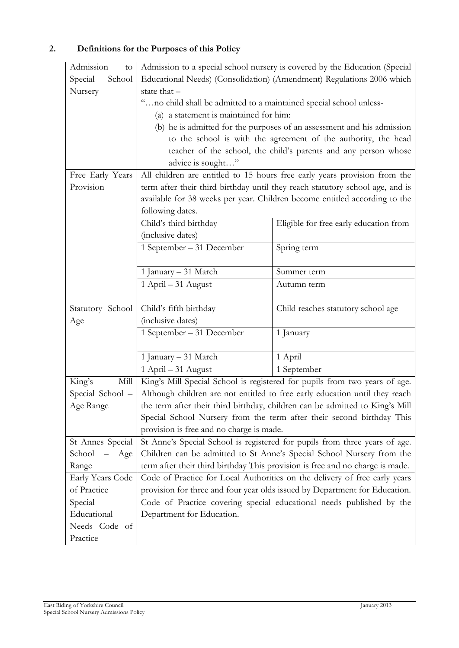# **2. Definitions for the Purposes of this Policy**

| Admission<br>to   |                                                                               | Admission to a special school nursery is covered by the Education (Special  |  |
|-------------------|-------------------------------------------------------------------------------|-----------------------------------------------------------------------------|--|
| Special<br>School | Educational Needs) (Consolidation) (Amendment) Regulations 2006 which         |                                                                             |  |
| Nursery           | state that -                                                                  |                                                                             |  |
|                   | "no child shall be admitted to a maintained special school unless-            |                                                                             |  |
|                   | (a) a statement is maintained for him:                                        |                                                                             |  |
|                   |                                                                               | (b) he is admitted for the purposes of an assessment and his admission      |  |
|                   | to the school is with the agreement of the authority, the head                |                                                                             |  |
|                   |                                                                               | teacher of the school, the child's parents and any person whose             |  |
|                   | advice is sought"                                                             |                                                                             |  |
| Free Early Years  | All children are entitled to 15 hours free early years provision from the     |                                                                             |  |
| Provision         | term after their third birthday until they reach statutory school age, and is |                                                                             |  |
|                   | available for 38 weeks per year. Children become entitled according to the    |                                                                             |  |
|                   | following dates.                                                              |                                                                             |  |
|                   | Child's third birthday                                                        | Eligible for free early education from                                      |  |
|                   | (inclusive dates)                                                             |                                                                             |  |
|                   | 1 September – 31 December                                                     | Spring term                                                                 |  |
|                   |                                                                               |                                                                             |  |
|                   | 1 January - 31 March                                                          | Summer term                                                                 |  |
|                   | 1 April - 31 August                                                           | Autumn term                                                                 |  |
|                   |                                                                               |                                                                             |  |
| Statutory School  | Child's fifth birthday                                                        | Child reaches statutory school age                                          |  |
| Age               | (inclusive dates)                                                             |                                                                             |  |
|                   | 1 September – 31 December                                                     | 1 January                                                                   |  |
|                   |                                                                               |                                                                             |  |
|                   | 1 January - 31 March                                                          | 1 April                                                                     |  |
|                   | 1 April - 31 August                                                           | 1 September                                                                 |  |
| King's<br>Mill    |                                                                               | King's Mill Special School is registered for pupils from two years of age.  |  |
| Special School -  |                                                                               | Although children are not entitled to free early education until they reach |  |
| Age Range         | the term after their third birthday, children can be admitted to King's Mill  |                                                                             |  |
|                   | Special School Nursery from the term after their second birthday This         |                                                                             |  |
|                   | provision is free and no charge is made.                                      |                                                                             |  |
| St Annes Special  | St Anne's Special School is registered for pupils from three years of age.    |                                                                             |  |
| School - Age      | Children can be admitted to St Anne's Special School Nursery from the         |                                                                             |  |
| Range             | term after their third birthday This provision is free and no charge is made. |                                                                             |  |
| Early Years Code  | Code of Practice for Local Authorities on the delivery of free early years    |                                                                             |  |
| of Practice       | provision for three and four year olds issued by Department for Education.    |                                                                             |  |
| Special           | Code of Practice covering special educational needs published by the          |                                                                             |  |
| Educational       | Department for Education.                                                     |                                                                             |  |
| Needs Code of     |                                                                               |                                                                             |  |
| Practice          |                                                                               |                                                                             |  |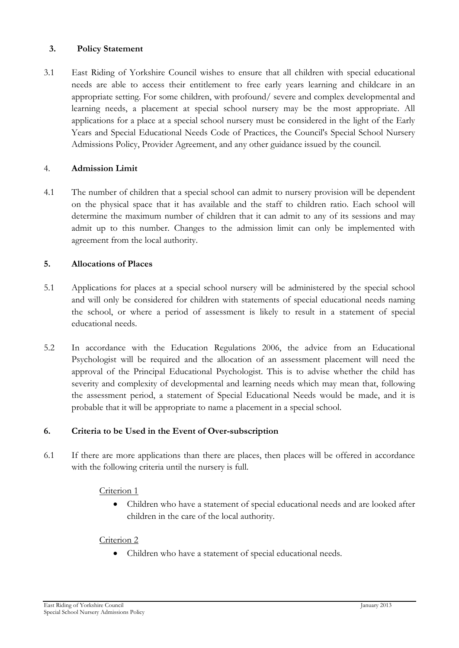## **3. Policy Statement**

3.1 East Riding of Yorkshire Council wishes to ensure that all children with special educational needs are able to access their entitlement to free early years learning and childcare in an appropriate setting. For some children, with profound/ severe and complex developmental and learning needs, a placement at special school nursery may be the most appropriate. All applications for a place at a special school nursery must be considered in the light of the Early Years and Special Educational Needs Code of Practices, the Council's Special School Nursery Admissions Policy, Provider Agreement, and any other guidance issued by the council.

#### 4. **Admission Limit**

4.1 The number of children that a special school can admit to nursery provision will be dependent on the physical space that it has available and the staff to children ratio. Each school will determine the maximum number of children that it can admit to any of its sessions and may admit up to this number. Changes to the admission limit can only be implemented with agreement from the local authority.

#### **5. Allocations of Places**

- 5.1 Applications for places at a special school nursery will be administered by the special school and will only be considered for children with statements of special educational needs naming the school, or where a period of assessment is likely to result in a statement of special educational needs.
- 5.2 In accordance with the Education Regulations 2006, the advice from an Educational Psychologist will be required and the allocation of an assessment placement will need the approval of the Principal Educational Psychologist. This is to advise whether the child has severity and complexity of developmental and learning needs which may mean that, following the assessment period, a statement of Special Educational Needs would be made, and it is probable that it will be appropriate to name a placement in a special school.

## **6. Criteria to be Used in the Event of Over-subscription**

6.1 If there are more applications than there are places, then places will be offered in accordance with the following criteria until the nursery is full.

#### Criterion 1

 Children who have a statement of special educational needs and are looked after children in the care of the local authority.

#### Criterion 2

Children who have a statement of special educational needs.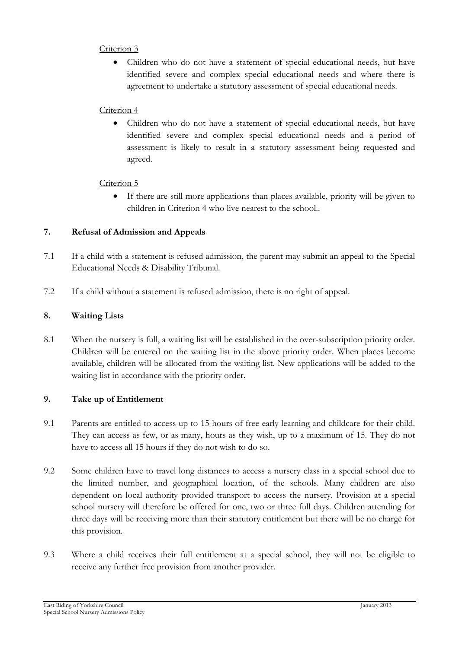## Criterion 3

 Children who do not have a statement of special educational needs, but have identified severe and complex special educational needs and where there is agreement to undertake a statutory assessment of special educational needs.

# Criterion 4

 Children who do not have a statement of special educational needs, but have identified severe and complex special educational needs and a period of assessment is likely to result in a statutory assessment being requested and agreed.

# Criterion 5

 If there are still more applications than places available, priority will be given to children in Criterion 4 who live nearest to the school..

# **7. Refusal of Admission and Appeals**

- 7.1 If a child with a statement is refused admission, the parent may submit an appeal to the Special Educational Needs & Disability Tribunal.
- 7.2 If a child without a statement is refused admission, there is no right of appeal.

# **8. Waiting Lists**

8.1 When the nursery is full, a waiting list will be established in the over-subscription priority order. Children will be entered on the waiting list in the above priority order. When places become available, children will be allocated from the waiting list. New applications will be added to the waiting list in accordance with the priority order.

## **9. Take up of Entitlement**

- 9.1 Parents are entitled to access up to 15 hours of free early learning and childcare for their child. They can access as few, or as many, hours as they wish, up to a maximum of 15. They do not have to access all 15 hours if they do not wish to do so.
- 9.2 Some children have to travel long distances to access a nursery class in a special school due to the limited number, and geographical location, of the schools. Many children are also dependent on local authority provided transport to access the nursery. Provision at a special school nursery will therefore be offered for one, two or three full days. Children attending for three days will be receiving more than their statutory entitlement but there will be no charge for this provision.
- 9.3 Where a child receives their full entitlement at a special school, they will not be eligible to receive any further free provision from another provider.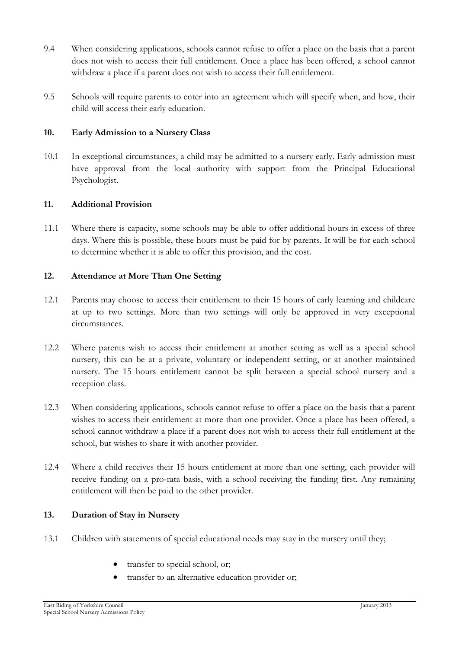- 9.4 When considering applications, schools cannot refuse to offer a place on the basis that a parent does not wish to access their full entitlement. Once a place has been offered, a school cannot withdraw a place if a parent does not wish to access their full entitlement.
- 9.5 Schools will require parents to enter into an agreement which will specify when, and how, their child will access their early education.

## **10. Early Admission to a Nursery Class**

10.1 In exceptional circumstances, a child may be admitted to a nursery early. Early admission must have approval from the local authority with support from the Principal Educational Psychologist.

## **11. Additional Provision**

11.1 Where there is capacity, some schools may be able to offer additional hours in excess of three days. Where this is possible, these hours must be paid for by parents. It will be for each school to determine whether it is able to offer this provision, and the cost.

# **12. Attendance at More Than One Setting**

- 12.1 Parents may choose to access their entitlement to their 15 hours of early learning and childcare at up to two settings. More than two settings will only be approved in very exceptional circumstances.
- 12.2 Where parents wish to access their entitlement at another setting as well as a special school nursery, this can be at a private, voluntary or independent setting, or at another maintained nursery. The 15 hours entitlement cannot be split between a special school nursery and a reception class.
- 12.3 When considering applications, schools cannot refuse to offer a place on the basis that a parent wishes to access their entitlement at more than one provider. Once a place has been offered, a school cannot withdraw a place if a parent does not wish to access their full entitlement at the school, but wishes to share it with another provider.
- 12.4 Where a child receives their 15 hours entitlement at more than one setting, each provider will receive funding on a pro-rata basis, with a school receiving the funding first. Any remaining entitlement will then be paid to the other provider.

# **13. Duration of Stay in Nursery**

- 13.1 Children with statements of special educational needs may stay in the nursery until they;
	- transfer to special school, or;
	- transfer to an alternative education provider or: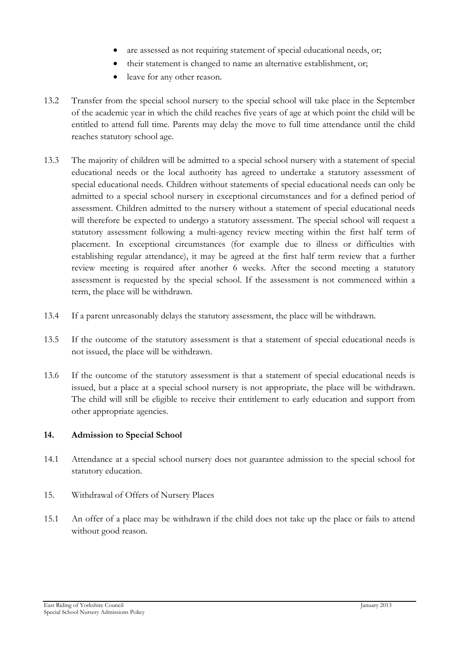- are assessed as not requiring statement of special educational needs, or;
- their statement is changed to name an alternative establishment, or;
- leave for any other reason.
- 13.2 Transfer from the special school nursery to the special school will take place in the September of the academic year in which the child reaches five years of age at which point the child will be entitled to attend full time. Parents may delay the move to full time attendance until the child reaches statutory school age.
- 13.3 The majority of children will be admitted to a special school nursery with a statement of special educational needs or the local authority has agreed to undertake a statutory assessment of special educational needs. Children without statements of special educational needs can only be admitted to a special school nursery in exceptional circumstances and for a defined period of assessment. Children admitted to the nursery without a statement of special educational needs will therefore be expected to undergo a statutory assessment. The special school will request a statutory assessment following a multi-agency review meeting within the first half term of placement. In exceptional circumstances (for example due to illness or difficulties with establishing regular attendance), it may be agreed at the first half term review that a further review meeting is required after another 6 weeks. After the second meeting a statutory assessment is requested by the special school. If the assessment is not commenced within a term, the place will be withdrawn.
- 13.4 If a parent unreasonably delays the statutory assessment, the place will be withdrawn.
- 13.5 If the outcome of the statutory assessment is that a statement of special educational needs is not issued, the place will be withdrawn.
- 13.6 If the outcome of the statutory assessment is that a statement of special educational needs is issued, but a place at a special school nursery is not appropriate, the place will be withdrawn. The child will still be eligible to receive their entitlement to early education and support from other appropriate agencies.

## **14. Admission to Special School**

- 14.1 Attendance at a special school nursery does not guarantee admission to the special school for statutory education.
- 15. Withdrawal of Offers of Nursery Places
- 15.1 An offer of a place may be withdrawn if the child does not take up the place or fails to attend without good reason.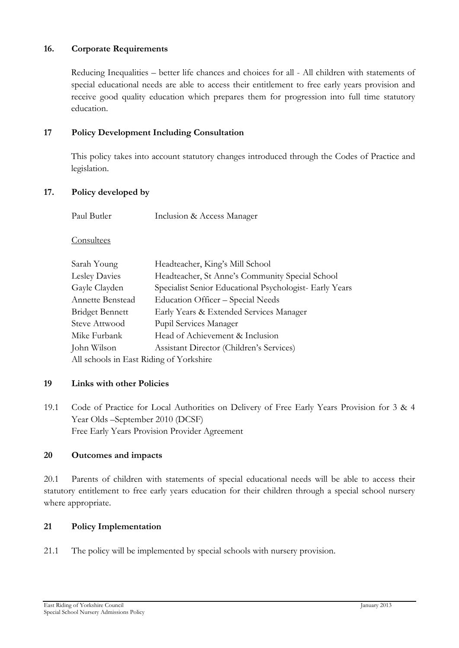## **16. Corporate Requirements**

Reducing Inequalities – better life chances and choices for all - All children with statements of special educational needs are able to access their entitlement to free early years provision and receive good quality education which prepares them for progression into full time statutory education.

# **17 Policy Development Including Consultation**

 This policy takes into account statutory changes introduced through the Codes of Practice and legislation.

## **17. Policy developed by**

| Paul Butler | Inclusion & Access Manager |
|-------------|----------------------------|
|             |                            |

Consultees

| Sarah Young                             | Headteacher, King's Mill School                         |
|-----------------------------------------|---------------------------------------------------------|
| Lesley Davies                           | Headteacher, St Anne's Community Special School         |
| Gayle Clayden                           | Specialist Senior Educational Psychologist- Early Years |
| Annette Benstead                        | Education Officer - Special Needs                       |
| <b>Bridget Bennett</b>                  | Early Years & Extended Services Manager                 |
| <b>Steve Attwood</b>                    | Pupil Services Manager                                  |
| Mike Furbank                            | Head of Achievement & Inclusion                         |
| John Wilson                             | Assistant Director (Children's Services)                |
| All schools in East Riding of Yorkshire |                                                         |

## **19 Links with other Policies**

19.1 Code of Practice for Local Authorities on Delivery of Free Early Years Provision for 3 & 4 Year Olds –September 2010 (DCSF) Free Early Years Provision Provider Agreement

#### **20 Outcomes and impacts**

20.1 Parents of children with statements of special educational needs will be able to access their statutory entitlement to free early years education for their children through a special school nursery where appropriate.

## **21 Policy Implementation**

21.1 The policy will be implemented by special schools with nursery provision.